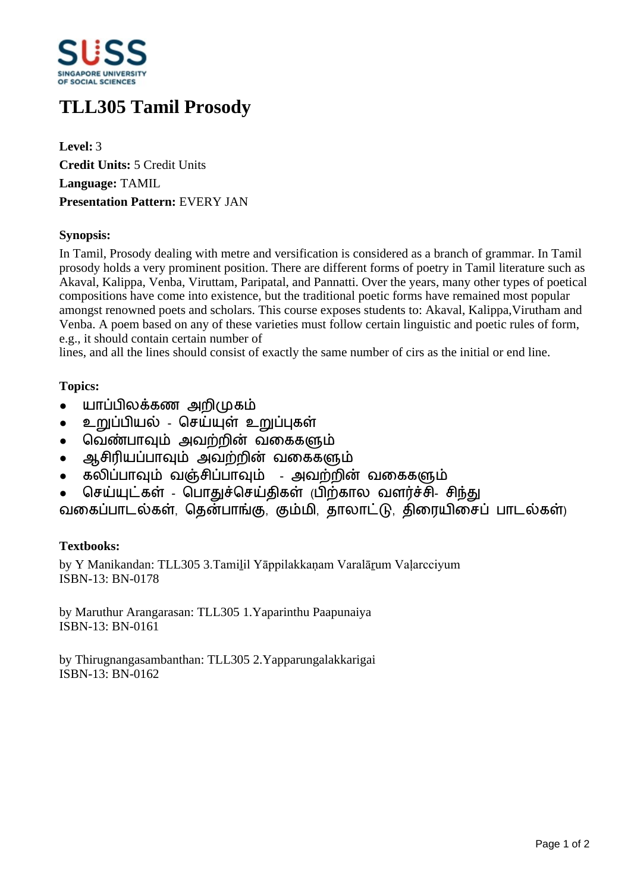

# **TLL305 Tamil Prosody**

**Level:** 3 **Credit Units:** 5 Credit Units **Language:** TAMIL **Presentation Pattern:** EVERY JAN

#### **Synopsis:**

In Tamil, Prosody dealing with metre and versification is considered as a branch of grammar. In Tamil prosody holds a very prominent position. There are different forms of poetry in Tamil literature such as Akaval, Kalippa, Venba, Viruttam, Paripatal, and Pannatti. Over the years, many other types of poetical compositions have come into existence, but the traditional poetic forms have remained most popular amongst renowned poets and scholars. This course exposes students to: Akaval, Kalippa,Virutham and Venba. A poem based on any of these varieties must follow certain linguistic and poetic rules of form, e.g., it should contain certain number of

lines, and all the lines should consist of exactly the same number of cirs as the initial or end line.

## **Topics:**

- யாப்பிலக்கண அறிமுகம்
- உறுப்பியல் செய்யுள் உறுப்புகள்
- வெண்பாவும் அவற்றின் வகைகளும்
- ஆசிரியப்பாவும் அவற்றின் வகைகளும்
- கலிப்பாவும் வஞ்சிப்பாவும் அவற்றின் வகைகளும்
- செய்யுட்கள் பொகுச்செய்திகள் (பிற்கால வளர்ச்சி- சிந்து

வகைப்பாடல்கள், தென்பாங்கு, கும்மி, தாலாட்டு, திரையிசைப் பாடல்கள்)

## **Textbooks:**

by Y Manikandan: TLL305 3.Tamilil Yāppilakkanam Varalārum Valarcciyum ISBN-13: BN-0178

by Maruthur Arangarasan: TLL305 1.Yaparinthu Paapunaiya ISBN-13: BN-0161

by Thirugnangasambanthan: TLL305 2.Yapparungalakkarigai ISBN-13: BN-0162